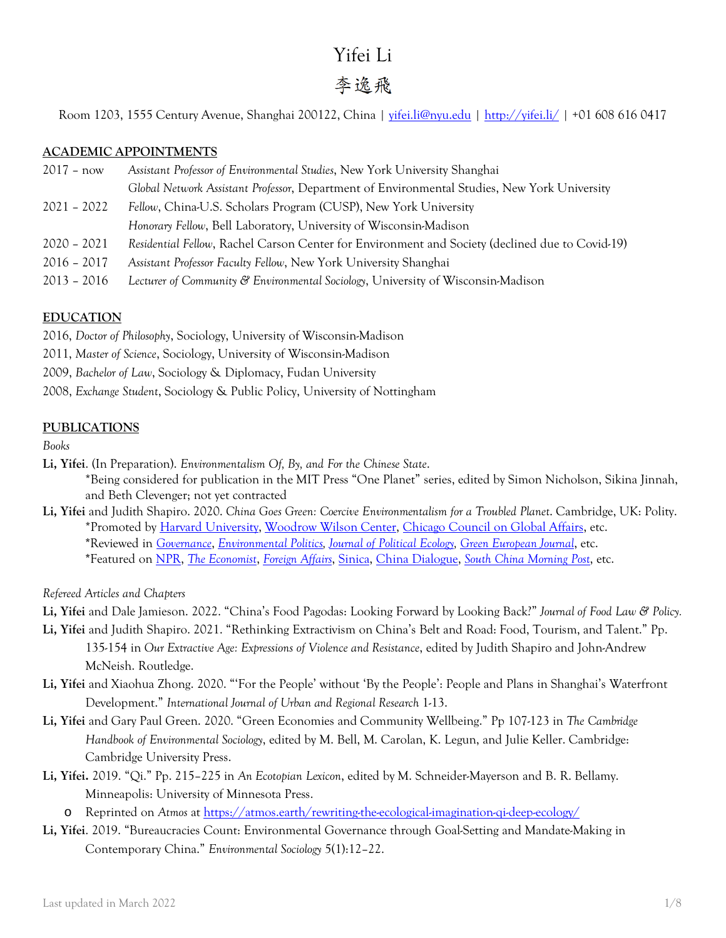# Yifei Li

# 李逸飛

Room 1203, 1555 Century Avenue, Shanghai 200122, China | [yifei.li@nyu.edu](mailto:yifei.li@nyu.edu) |<http://yifei.li/> | +01 608 616 0417

# **ACADEMIC APPOINTMENTS**

- 2017 now *Assistant Professor of Environmental Studies*, New York University Shanghai *Global Network Assistant Professor*, Department of Environmental Studies, New York University
- 2021 2022 *Fellow*, China-U.S. Scholars Program (CUSP), New York University *Honorary Fellow*, Bell Laboratory, University of Wisconsin-Madison
- 2020 2021 *Residential Fellow*, Rachel Carson Center for Environment and Society (declined due to Covid-19)
- 2016 2017 *Assistant Professor Faculty Fellow*, New York University Shanghai
- 2013 2016 *Lecturer of Community & Environmental Sociology*, University of Wisconsin-Madison

# **EDUCATION**

2016, *Doctor of Philosophy*, Sociology, University of Wisconsin-Madison

- 2011, *Master of Science*, Sociology, University of Wisconsin-Madison
- 2009, *Bachelor of Law*, Sociology & Diplomacy, Fudan University
- 2008, *Exchange Student*, Sociology & Public Policy, University of Nottingham

# **PUBLICATIONS**

*Books*

- **Li, Yifei**. (In Preparation). *Environmentalism Of, By, and For the Chinese State*.
	- \*Being considered for publication in the MIT Press "One Planet" series, edited by Simon Nicholson, Sikina Jinnah, and Beth Clevenger; not yet contracted
- **Li, Yifei** and Judith Shapiro. 2020. *China Goes Green: Coercive Environmentalism for a Troubled Planet*. Cambridge, UK: Polity. \*Promoted b[y Harvard University,](https://www.youtube.com/watch?v=-sdJJU2JhZ0) [Woodrow Wilson Center,](https://www.youtube.com/watch?v=wqwYnLOuF-g) [Chicago Council on Global Affairs,](https://www.youtube.com/watch?v=9vYSooUrgds) etc. **\***Reviewed in *[Governance](https://onlinelibrary.wiley.com/doi/10.1111/gove.12582)*, *[Environmental Politics,](https://www.tandfonline.com/doi/full/10.1080/09644016.2020.1865738) [Journal of Political Ecology,](https://journals.uair.arizona.edu/index.php/JPE/article/view/23862) [Green European Journal](https://www.greeneuropeanjournal.eu/green-transition-in-china-at-what-cost/)*, etc.
	- **\***Featured on [NPR,](https://www.pri.org/stories/2021-01-14/green-china-where-authoritarianism-and-environmentalism-meet) *[The Economist](https://www.economist.com/china/2020/09/12/chinas-authoritarian-approach-wont-save-the-environment)*, *[Foreign Affairs](https://www.foreignaffairs.com/reviews/capsule-review/2020-12-08/china-goes-green-coercive-environmentalism-troubled-planet)*, [Sinica,](https://supchina.com/podcast/is-coercive-environmentalism-the-answer/) [China Dialogue,](https://chinadialogue.net/en/cities/as-china-goes-green-should-the-world-celebrate-its-model/) *[South China Morning Post](https://www.scmp.com/comment/opinion/article/3107503/high-stakes-and-pitfalls-chinas-drive-carbon-leadership)*, etc.

*Refereed Articles and Chapters*

- **Li, Yifei** and Dale Jamieson. 2022. "China's Food Pagodas: Looking Forward by Looking Back?" *Journal of Food Law & Policy.*
- **Li, Yifei** and Judith Shapiro. 2021. "Rethinking Extractivism on China's Belt and Road: Food, Tourism, and Talent." Pp. 135-154 in *Our Extractive Age: Expressions of Violence and Resistance*, edited by Judith Shapiro and John-Andrew McNeish. Routledge.
- **Li, Yifei** and Xiaohua Zhong. 2020. "'For the People' without 'By the People': People and Plans in Shanghai's Waterfront Development." *International Journal of Urban and Regional Research* 1-13.
- **Li, Yifei** and Gary Paul Green. 2020. "Green Economies and Community Wellbeing." Pp 107-123 in *The Cambridge Handbook of Environmental Sociology*, edited by M. Bell, M. Carolan, K. Legun, and Julie Keller. Cambridge: Cambridge University Press.
- **Li, Yifei.** 2019. "Qi." Pp. 215–225 in *An Ecotopian Lexicon*, edited by M. Schneider-Mayerson and B. R. Bellamy. Minneapolis: University of Minnesota Press.
	- o Reprinted on *Atmos* at<https://atmos.earth/rewriting-the-ecological-imagination-qi-deep-ecology/>
- **Li, Yifei**. 2019. "Bureaucracies Count: Environmental Governance through Goal-Setting and Mandate-Making in Contemporary China." *Environmental Sociology* 5(1):12–22.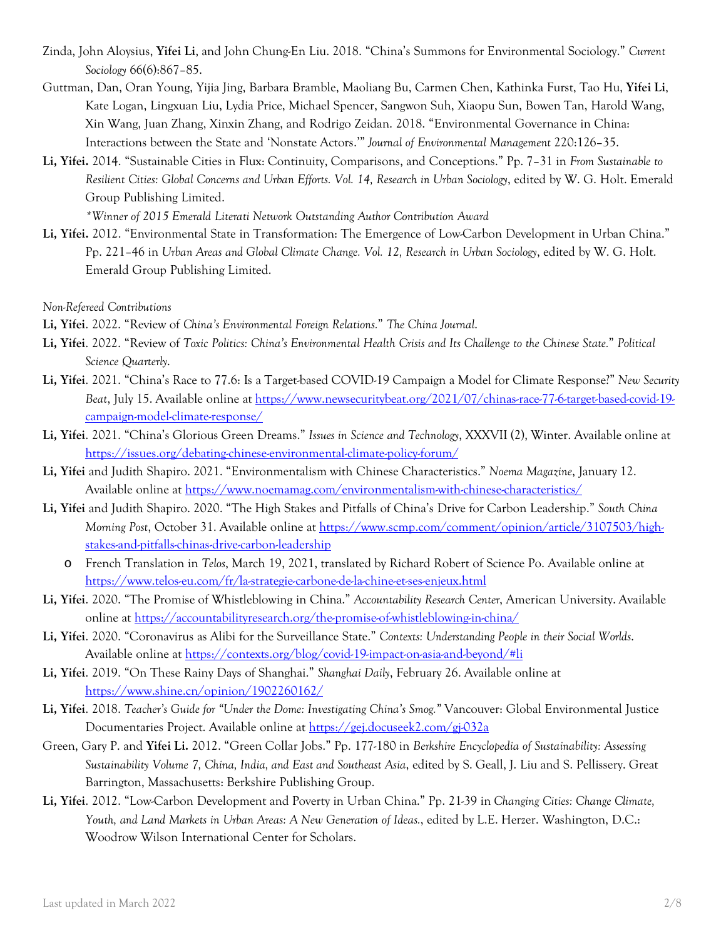- Zinda, John Aloysius, **Yifei Li**, and John Chung-En Liu. 2018. "China's Summons for Environmental Sociology." *Current Sociology* 66(6):867–85.
- Guttman, Dan, Oran Young, Yijia Jing, Barbara Bramble, Maoliang Bu, Carmen Chen, Kathinka Furst, Tao Hu, **Yifei Li**, Kate Logan, Lingxuan Liu, Lydia Price, Michael Spencer, Sangwon Suh, Xiaopu Sun, Bowen Tan, Harold Wang, Xin Wang, Juan Zhang, Xinxin Zhang, and Rodrigo Zeidan. 2018. "Environmental Governance in China: Interactions between the State and 'Nonstate Actors.'" *Journal of Environmental Management* 220:126–35.
- **Li, Yifei.** 2014. "Sustainable Cities in Flux: Continuity, Comparisons, and Conceptions." Pp. 7–31 in *From Sustainable to Resilient Cities: Global Concerns and Urban Efforts. Vol. 14, Research in Urban Sociology*, edited by W. G. Holt. Emerald Group Publishing Limited.

*\*Winner of 2015 Emerald Literati Network Outstanding Author Contribution Award*

**Li, Yifei.** 2012. "Environmental State in Transformation: The Emergence of Low-Carbon Development in Urban China." Pp. 221–46 in *Urban Areas and Global Climate Change. Vol. 12, Research in Urban Sociology*, edited by W. G. Holt. Emerald Group Publishing Limited.

*Non-Refereed Contributions*

- **Li, Yifei**. 2022. "Review of *China's Environmental Foreign Relations.*" *The China Journal*.
- **Li, Yifei**. 2022. "Review of *Toxic Politics: China's Environmental Health Crisis and Its Challenge to the Chinese State.*" *Political Science Quarterly*.
- **Li, Yifei**. 2021. "China's Race to 77.6: Is a Target-based COVID-19 Campaign a Model for Climate Response?" *New Security Beat*, July 15. Available online at [https://www.newsecuritybeat.org/2021/07/chinas-race-77-6-target-based-covid-19](https://www.newsecuritybeat.org/2021/07/chinas-race-77-6-target-based-covid-19-campaign-model-climate-response/) [campaign-model-climate-response/](https://www.newsecuritybeat.org/2021/07/chinas-race-77-6-target-based-covid-19-campaign-model-climate-response/)
- **Li, Yifei**. 2021. "China's Glorious Green Dreams." *Issues in Science and Technology*, XXXVII (2), Winter. Available online at <https://issues.org/debating-chinese-environmental-climate-policy-forum/>
- **Li, Yifei** and Judith Shapiro. 2021. "Environmentalism with Chinese Characteristics." *Noema Magazine*, January 12. Available online at<https://www.noemamag.com/environmentalism-with-chinese-characteristics/>
- **Li, Yifei** and Judith Shapiro. 2020. "The High Stakes and Pitfalls of China's Drive for Carbon Leadership." *South China Morning Post*, October 31. Available online at [https://www.scmp.com/comment/opinion/article/3107503/high](https://www.scmp.com/comment/opinion/article/3107503/high-stakes-and-pitfalls-chinas-drive-carbon-leadership)[stakes-and-pitfalls-chinas-drive-carbon-leadership](https://www.scmp.com/comment/opinion/article/3107503/high-stakes-and-pitfalls-chinas-drive-carbon-leadership)
	- o French Translation in *Telos*, March 19, 2021, translated by Richard Robert of Science Po. Available online at <https://www.telos-eu.com/fr/la-strategie-carbone-de-la-chine-et-ses-enjeux.html>
- **Li, Yifei**. 2020. "The Promise of Whistleblowing in China." *Accountability Research Center*, American University. Available online at<https://accountabilityresearch.org/the-promise-of-whistleblowing-in-china/>
- **Li, Yifei**. 2020. "Coronavirus as Alibi for the Surveillance State." *Contexts: Understanding People in their Social Worlds*. Available online at<https://contexts.org/blog/covid-19-impact-on-asia-and-beyond/#li>
- **Li, Yifei**. 2019. "On These Rainy Days of Shanghai." *Shanghai Daily*, February 26. Available online at <https://www.shine.cn/opinion/1902260162/>
- **Li, Yifei**. 2018. *Teacher's Guide for "Under the Dome: Investigating China's Smog."* Vancouver: Global Environmental Justice Documentaries Project. Available online at<https://gej.docuseek2.com/gj-032a>
- Green, Gary P. and **Yifei Li.** 2012. "Green Collar Jobs." Pp. 177-180 in *Berkshire Encyclopedia of Sustainability: Assessing Sustainability Volume 7, China, India, and East and Southeast Asia*, edited by S. Geall, J. Liu and S. Pellissery. Great Barrington, Massachusetts: Berkshire Publishing Group.
- **Li, Yifei**. 2012. "Low-Carbon Development and Poverty in Urban China." Pp. 21-39 in *Changing Cities: Change Climate, Youth, and Land Markets in Urban Areas: A New Generation of Ideas.*, edited by L.E. Herzer. Washington, D.C.: Woodrow Wilson International Center for Scholars.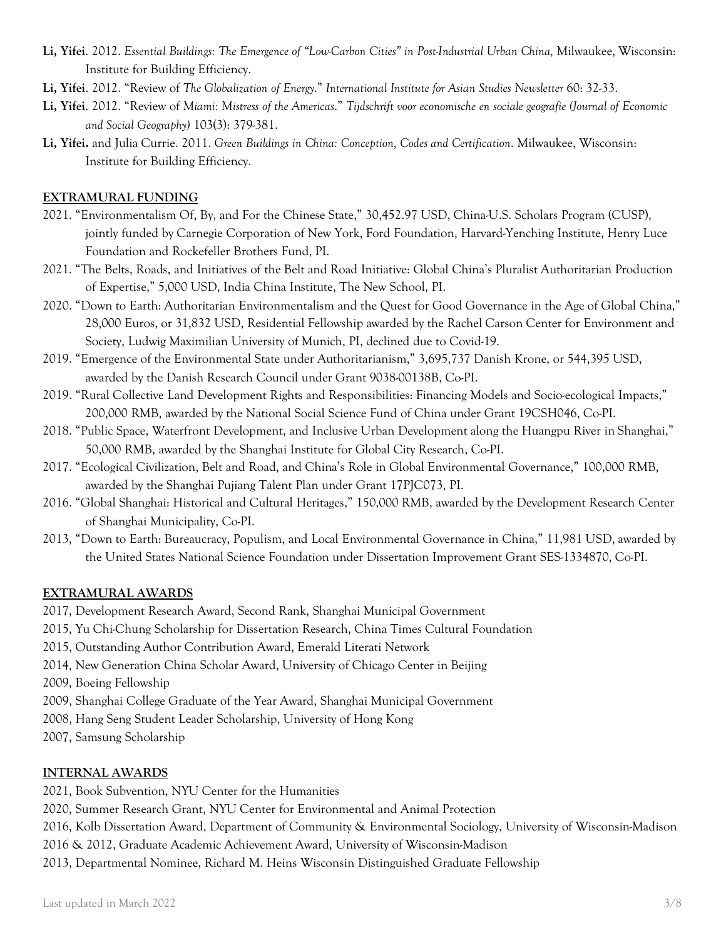- **Li, Yifei**. 2012. *Essential Buildings: The Emergence of "Low-Carbon Cities" in Post-Industrial Urban China,* Milwaukee, Wisconsin: Institute for Building Efficiency.
- **Li, Yifei**. 2012. "Review of *The Globalization of Energy*." *International Institute for Asian Studies Newsletter* 60: 32-33.
- **Li, Yifei**. 2012. "Review of *Miami: Mistress of the Americas*." *Tijdschrift voor economische en sociale geografie (Journal of Economic and Social Geography)* 103(3): 379-381.
- **Li, Yifei.** and Julia Currie. 2011. *Green Buildings in China: Conception, Codes and Certification*. Milwaukee, Wisconsin: Institute for Building Efficiency.

# **EXTRAMURAL FUNDING**

- 2021. "Environmentalism Of, By, and For the Chinese State," 30,452.97 USD, China-U.S. Scholars Program (CUSP), jointly funded by Carnegie Corporation of New York, Ford Foundation, Harvard-Yenching Institute, Henry Luce Foundation and Rockefeller Brothers Fund, PI.
- 2021. "The Belts, Roads, and Initiatives of the Belt and Road Initiative: Global China's Pluralist Authoritarian Production of Expertise," 5,000 USD, India China Institute, The New School, PI.
- 2020. "Down to Earth: Authoritarian Environmentalism and the Quest for Good Governance in the Age of Global China," 28,000 Euros, or 31,832 USD, Residential Fellowship awarded by the Rachel Carson Center for Environment and Society, Ludwig Maximilian University of Munich, PI, declined due to Covid-19.
- 2019. "Emergence of the Environmental State under Authoritarianism," 3,695,737 Danish Krone, or 544,395 USD, awarded by the Danish Research Council under Grant 9038-00138B, Co-PI.
- 2019. "Rural Collective Land Development Rights and Responsibilities: Financing Models and Socio-ecological Impacts," 200,000 RMB, awarded by the National Social Science Fund of China under Grant 19CSH046, Co-PI.
- 2018. "Public Space, Waterfront Development, and Inclusive Urban Development along the Huangpu River in Shanghai," 50,000 RMB, awarded by the Shanghai Institute for Global City Research, Co-PI.
- 2017. "Ecological Civilization, Belt and Road, and China's Role in Global Environmental Governance," 100,000 RMB, awarded by the Shanghai Pujiang Talent Plan under Grant 17PJC073, PI.
- 2016. "Global Shanghai: Historical and Cultural Heritages," 150,000 RMB, awarded by the Development Research Center of Shanghai Municipality, Co-PI.
- 2013, "Down to Earth: Bureaucracy, Populism, and Local Environmental Governance in China," 11,981 USD, awarded by the United States National Science Foundation under Dissertation Improvement Grant SES-1334870, Co-PI.

# **EXTRAMURAL AWARDS**

- 2017, Development Research Award, Second Rank, Shanghai Municipal Government
- 2015, Yu Chi-Chung Scholarship for Dissertation Research, China Times Cultural Foundation
- 2015, Outstanding Author Contribution Award, Emerald Literati Network
- 2014, New Generation China Scholar Award, University of Chicago Center in Beijing
- 2009, Boeing Fellowship
- 2009, Shanghai College Graduate of the Year Award, Shanghai Municipal Government
- 2008, Hang Seng Student Leader Scholarship, University of Hong Kong
- 2007, Samsung Scholarship

# **INTERNAL AWARDS**

2021, Book Subvention, NYU Center for the Humanities

2020, Summer Research Grant, NYU Center for Environmental and Animal Protection

- 2016, Kolb Dissertation Award, Department of Community & Environmental Sociology, University of Wisconsin-Madison
- 2016 & 2012, Graduate Academic Achievement Award, University of Wisconsin-Madison
- 2013, Departmental Nominee, Richard M. Heins Wisconsin Distinguished Graduate Fellowship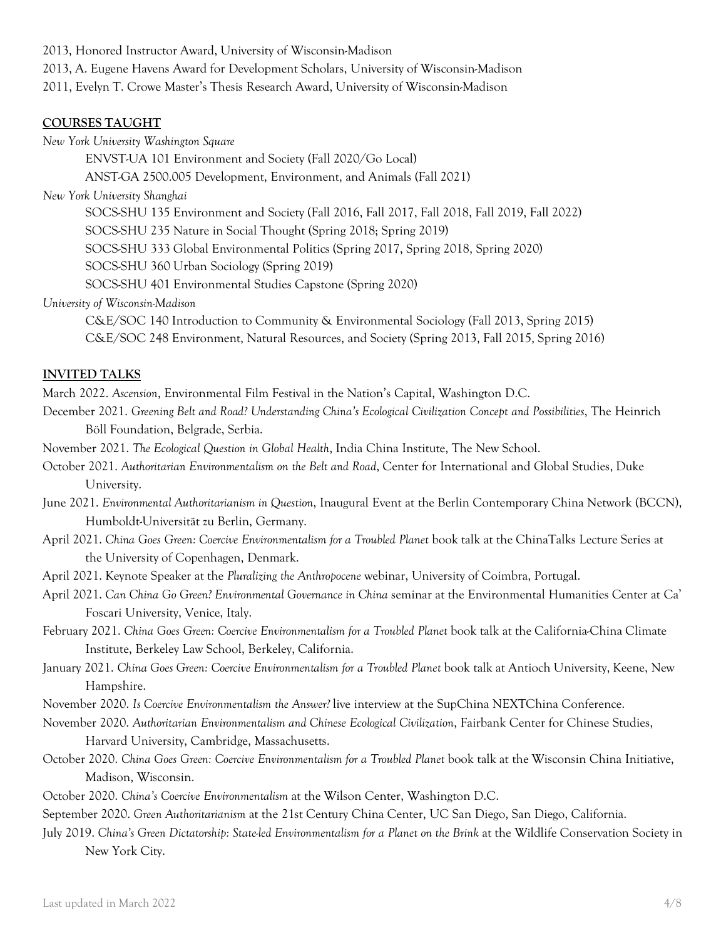2013, Honored Instructor Award, University of Wisconsin-Madison 2013, A. Eugene Havens Award for Development Scholars, University of Wisconsin-Madison 2011, Evelyn T. Crowe Master's Thesis Research Award, University of Wisconsin-Madison

### **COURSES TAUGHT**

*New York University Washington Square*

ENVST-UA 101 Environment and Society (Fall 2020/Go Local)

ANST-GA 2500.005 Development, Environment, and Animals (Fall 2021)

### *New York University Shanghai*

SOCS-SHU 135 Environment and Society (Fall 2016, Fall 2017, Fall 2018, Fall 2019, Fall 2022)

SOCS-SHU 235 Nature in Social Thought (Spring 2018; Spring 2019)

SOCS-SHU 333 Global Environmental Politics (Spring 2017, Spring 2018, Spring 2020)

SOCS-SHU 360 Urban Sociology (Spring 2019)

SOCS-SHU 401 Environmental Studies Capstone (Spring 2020)

# *University of Wisconsin-Madison*

C&E/SOC 140 Introduction to Community & Environmental Sociology (Fall 2013, Spring 2015) C&E/SOC 248 Environment, Natural Resources, and Society (Spring 2013, Fall 2015, Spring 2016)

# **INVITED TALKS**

March 2022. *Ascension*, Environmental Film Festival in the Nation's Capital, Washington D.C.

- December 2021. *Greening Belt and Road? Understanding China's Ecological Civilization Concept and Possibilities*, The Heinrich Böll Foundation, Belgrade, Serbia.
- November 2021. *The Ecological Question in Global Health*, India China Institute, The New School.
- October 2021. *Authoritarian Environmentalism on the Belt and Road*, Center for International and Global Studies, Duke University.
- June 2021. *Environmental Authoritarianism in Question*, Inaugural Event at the Berlin Contemporary China Network (BCCN), Humboldt-Universität zu Berlin, Germany.
- April 2021. *China Goes Green: Coercive Environmentalism for a Troubled Planet* book talk at the ChinaTalks Lecture Series at the University of Copenhagen, Denmark.
- April 2021. Keynote Speaker at the *Pluralizing the Anthropocene* webinar, University of Coimbra, Portugal.
- April 2021. *Can China Go Green? Environmental Governance in China* seminar at the Environmental Humanities Center at Ca' Foscari University, Venice, Italy.
- February 2021. *China Goes Green: Coercive Environmentalism for a Troubled Planet* book talk at the California-China Climate Institute, Berkeley Law School, Berkeley, California.
- January 2021. *China Goes Green: Coercive Environmentalism for a Troubled Planet* book talk at Antioch University, Keene, New Hampshire.

November 2020. *Is Coercive Environmentalism the Answer?* live interview at the SupChina NEXTChina Conference.

- November 2020. *Authoritarian Environmentalism and Chinese Ecological Civilization*, Fairbank Center for Chinese Studies, Harvard University, Cambridge, Massachusetts.
- October 2020. *China Goes Green: Coercive Environmentalism for a Troubled Planet* book talk at the Wisconsin China Initiative, Madison, Wisconsin.
- October 2020. *China's Coercive Environmentalism* at the Wilson Center, Washington D.C.

September 2020. *Green Authoritarianism* at the 21st Century China Center, UC San Diego, San Diego, California.

July 2019. *China's Green Dictatorship: State-led Environmentalism for a Planet on the Brink* at the Wildlife Conservation Society in New York City.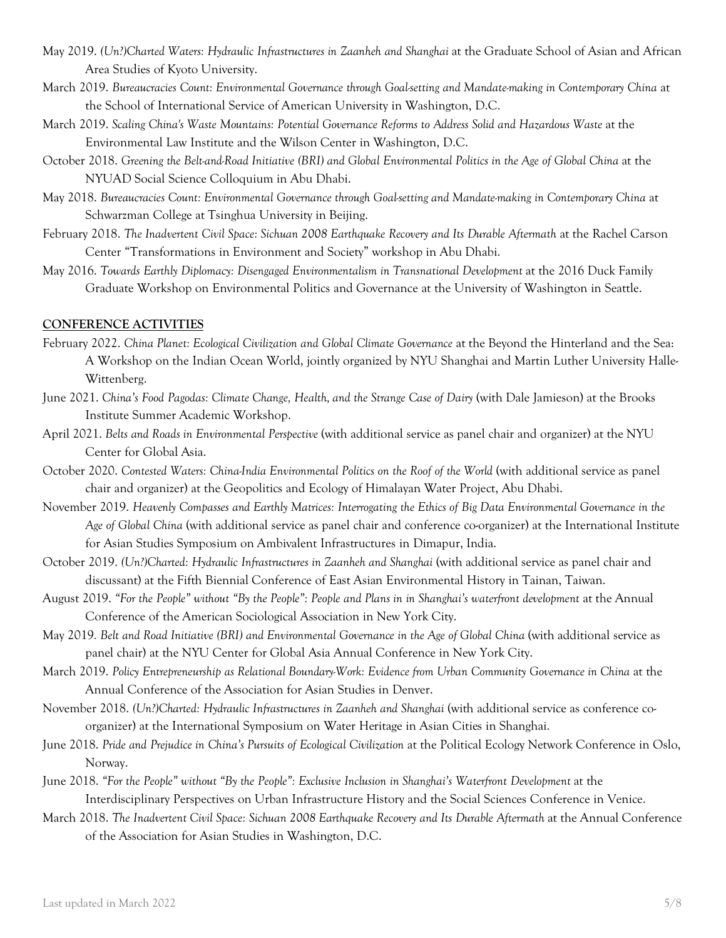- May 2019. *(Un?)Charted Waters: Hydraulic Infrastructures in Zaanheh and Shanghai* at the Graduate School of Asian and African Area Studies of Kyoto University.
- March 2019. *Bureaucracies Count: Environmental Governance through Goal-setting and Mandate-making in Contemporary China* at the School of International Service of American University in Washington, D.C.
- March 2019. *Scaling China's Waste Mountains: Potential Governance Reforms to Address Solid and Hazardous Waste* at the Environmental Law Institute and the Wilson Center in Washington, D.C.
- October 2018. *Greening the Belt-and-Road Initiative (BRI) and Global Environmental Politics in the Age of Global China* at the NYUAD Social Science Colloquium in Abu Dhabi.
- May 2018. *Bureaucracies Count: Environmental Governance through Goal-setting and Mandate-making in Contemporary China* at Schwarzman College at Tsinghua University in Beijing.
- February 2018. *The Inadvertent Civil Space: Sichuan 2008 Earthquake Recovery and Its Durable Aftermath* at the Rachel Carson Center "Transformations in Environment and Society" workshop in Abu Dhabi.
- May 2016. *Towards Earthly Diplomacy: Disengaged Environmentalism in Transnational Development* at the 2016 Duck Family Graduate Workshop on Environmental Politics and Governance at the University of Washington in Seattle.

# **CONFERENCE ACTIVITIES**

- February 2022. *China Planet: Ecological Civilization and Global Climate Governance* at the Beyond the Hinterland and the Sea: A Workshop on the Indian Ocean World, jointly organized by NYU Shanghai and Martin Luther University Halle-Wittenberg.
- June 2021. *China's Food Pagodas: Climate Change, Health, and the Strange Case of Dairy* (with Dale Jamieson) at the Brooks Institute Summer Academic Workshop.
- April 2021. *Belts and Roads in Environmental Perspective* (with additional service as panel chair and organizer) at the NYU Center for Global Asia.
- October 2020. *Contested Waters: China-India Environmental Politics on the Roof of the World* (with additional service as panel chair and organizer) at the Geopolitics and Ecology of Himalayan Water Project, Abu Dhabi.
- November 2019. *Heavenly Compasses and Earthly Matrices: Interrogating the Ethics of Big Data Environmental Governance in the Age of Global China* (with additional service as panel chair and conference co-organizer) at the International Institute for Asian Studies Symposium on Ambivalent Infrastructures in Dimapur, India.
- October 2019. *(Un?)Charted: Hydraulic Infrastructures in Zaanheh and Shanghai* (with additional service as panel chair and discussant) at the Fifth Biennial Conference of East Asian Environmental History in Tainan, Taiwan.
- August 2019. *"For the People" without "By the People": People and Plans in in Shanghai's waterfront development* at the Annual Conference of the American Sociological Association in New York City.
- May 2019*. Belt and Road Initiative (BRI) and Environmental Governance in the Age of Global China* (with additional service as panel chair) at the NYU Center for Global Asia Annual Conference in New York City.
- March 2019. *Policy Entrepreneurship as Relational Boundary-Work: Evidence from Urban Community Governance in China* at the Annual Conference of the Association for Asian Studies in Denver.
- November 2018. *(Un?)Charted: Hydraulic Infrastructures in Zaanheh and Shanghai* (with additional service as conference coorganizer) at the International Symposium on Water Heritage in Asian Cities in Shanghai.
- June 2018. *Pride and Prejudice in China's Pursuits of Ecological Civilization* at the Political Ecology Network Conference in Oslo, Norway.
- June 2018. *"For the People" without "By the People": Exclusive Inclusion in Shanghai's Waterfront Development* at the Interdisciplinary Perspectives on Urban Infrastructure History and the Social Sciences Conference in Venice.
- March 2018. *The Inadvertent Civil Space: Sichuan 2008 Earthquake Recovery and Its Durable Aftermath* at the Annual Conference of the Association for Asian Studies in Washington, D.C.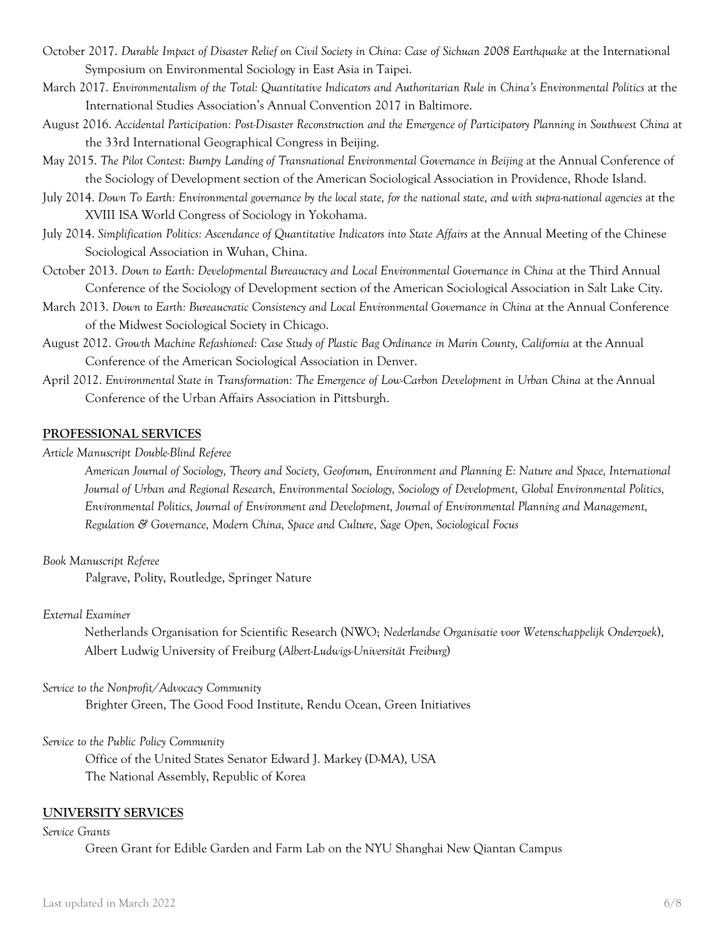- October 2017. *Durable Impact of Disaster Relief on Civil Society in China: Case of Sichuan 2008 Earthquake* at the International Symposium on Environmental Sociology in East Asia in Taipei.
- March 2017. *Environmentalism of the Total: Quantitative Indicators and Authoritarian Rule in China's Environmental Politics* at the International Studies Association's Annual Convention 2017 in Baltimore.
- August 2016. *Accidental Participation: Post-Disaster Reconstruction and the Emergence of Participatory Planning in Southwest China* at the 33rd International Geographical Congress in Beijing.
- May 2015. *The Pilot Contest: Bumpy Landing of Transnational Environmental Governance in Beijing* at the Annual Conference of the Sociology of Development section of the American Sociological Association in Providence, Rhode Island.
- July 2014. *Down To Earth: Environmental governance by the local state, for the national state, and with supra-national agencies* at the XVIII ISA World Congress of Sociology in Yokohama.
- July 2014. *Simplification Politics: Ascendance of Quantitative Indicators into State Affairs* at the Annual Meeting of the Chinese Sociological Association in Wuhan, China.
- October 2013. *Down to Earth: Developmental Bureaucracy and Local Environmental Governance in China* at the Third Annual Conference of the Sociology of Development section of the American Sociological Association in Salt Lake City.
- March 2013. *Down to Earth: Bureaucratic Consistency and Local Environmental Governance in China* at the Annual Conference of the Midwest Sociological Society in Chicago.
- August 2012. *Growth Machine Refashioned: Case Study of Plastic Bag Ordinance in Marin County, California* at the Annual Conference of the American Sociological Association in Denver.
- April 2012. *Environmental State in Transformation: The Emergence of Low-Carbon Development in Urban China* at the Annual Conference of the Urban Affairs Association in Pittsburgh.

# **PROFESSIONAL SERVICES**

*Article Manuscript Double-Blind Referee*

*American Journal of Sociology, Theory and Society, Geoforum, Environment and Planning E: Nature and Space, International Journal of Urban and Regional Research, Environmental Sociology, Sociology of Development, Global Environmental Politics, Environmental Politics, Journal of Environment and Development, Journal of Environmental Planning and Management, Regulation & Governance, Modern China, Space and Culture, Sage Open, Sociological Focus*

#### *Book Manuscript Referee*

Palgrave, Polity, Routledge, Springer Nature

#### *External Examiner*

Netherlands Organisation for Scientific Research (NWO; *Nederlandse Organisatie voor Wetenschappelijk Onderzoek*), Albert Ludwig University of Freiburg (*Albert-Ludwigs-Universität Freiburg*)

#### *Service to the Nonprofit/Advocacy Community*

Brighter Green, The Good Food Institute, Rendu Ocean, Green Initiatives

*Service to the Public Policy Community*

Office of the United States Senator Edward J. Markey (D-MA), USA The National Assembly, Republic of Korea

#### **UNIVERSITY SERVICES**

#### *Service Grants*

Green Grant for Edible Garden and Farm Lab on the NYU Shanghai New Qiantan Campus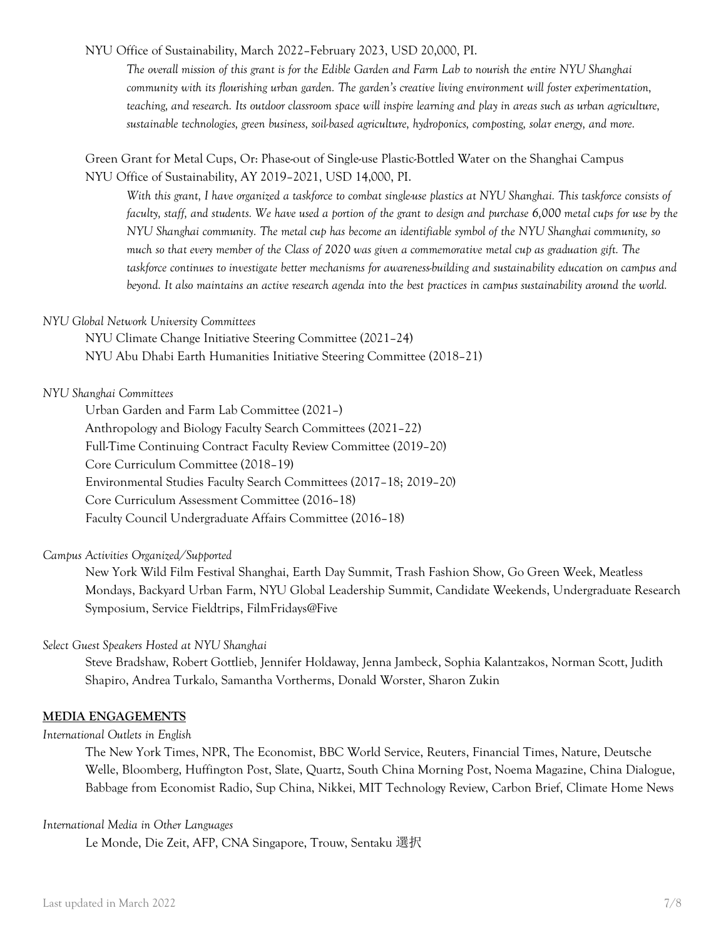NYU Office of Sustainability, March 2022–February 2023, USD 20,000, PI.

*The overall mission of this grant is for the Edible Garden and Farm Lab to nourish the entire NYU Shanghai community with its flourishing urban garden. The garden's creative living environment will foster experimentation, teaching, and research. Its outdoor classroom space will inspire learning and play in areas such as urban agriculture, sustainable technologies, green business, soil-based agriculture, hydroponics, composting, solar energy, and more.*

# Green Grant for Metal Cups, Or: Phase-out of Single-use Plastic-Bottled Water on the Shanghai Campus NYU Office of Sustainability, AY 2019–2021, USD 14,000, PI.

*With this grant, I have organized a taskforce to combat single-use plastics at NYU Shanghai. This taskforce consists of faculty, staff, and students. We have used a portion of the grant to design and purchase 6,000 metal cups for use by the NYU Shanghai community. The metal cup has become an identifiable symbol of the NYU Shanghai community, so much so that every member of the Class of 2020 was given a commemorative metal cup as graduation gift. The taskforce continues to investigate better mechanisms for awareness-building and sustainability education on campus and beyond. It also maintains an active research agenda into the best practices in campus sustainability around the world.* 

### *NYU Global Network University Committees*

NYU Climate Change Initiative Steering Committee (2021–24) NYU Abu Dhabi Earth Humanities Initiative Steering Committee (2018–21)

# *NYU Shanghai Committees*

Urban Garden and Farm Lab Committee (2021–) Anthropology and Biology Faculty Search Committees (2021–22) Full-Time Continuing Contract Faculty Review Committee (2019–20) Core Curriculum Committee (2018–19**)** Environmental Studies Faculty Search Committees (2017–18; 2019–20) Core Curriculum Assessment Committee (2016–18) Faculty Council Undergraduate Affairs Committee (2016–18)

#### *Campus Activities Organized/Supported*

New York Wild Film Festival Shanghai, Earth Day Summit, Trash Fashion Show, Go Green Week, Meatless Mondays, Backyard Urban Farm, NYU Global Leadership Summit, Candidate Weekends, Undergraduate Research Symposium, Service Fieldtrips, FilmFridays@Five

# *Select Guest Speakers Hosted at NYU Shanghai*

Steve Bradshaw, Robert Gottlieb, Jennifer Holdaway, Jenna Jambeck, Sophia Kalantzakos, Norman Scott, Judith Shapiro, Andrea Turkalo, Samantha Vortherms, Donald Worster, Sharon Zukin

# **MEDIA ENGAGEMENTS**

#### *International Outlets in English*

The New York Times, NPR, The Economist, BBC World Service, Reuters, Financial Times, Nature, Deutsche Welle, Bloomberg, Huffington Post, Slate, Quartz, South China Morning Post, Noema Magazine, China Dialogue, Babbage from Economist Radio, Sup China, Nikkei, MIT Technology Review, Carbon Brief, Climate Home News

#### *International Media in Other Languages*

Le Monde, Die Zeit, AFP, CNA Singapore, Trouw, Sentaku 選択